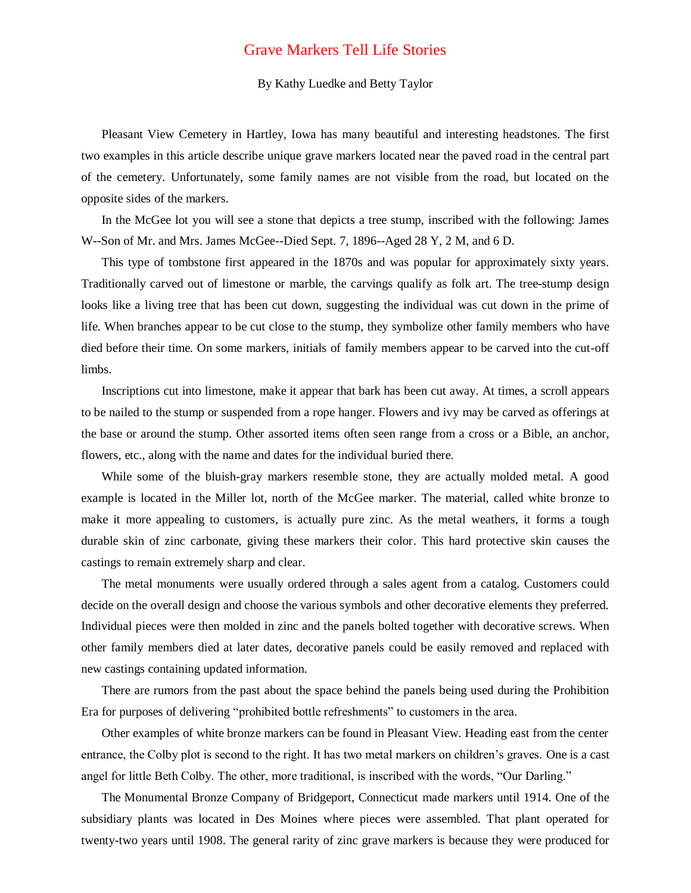## Grave Markers Tell Life Stories

## By Kathy Luedke and Betty Taylor

Pleasant View Cemetery in Hartley, Iowa has many beautiful and interesting headstones. The first two examples in this article describe unique grave markers located near the paved road in the central part of the cemetery. Unfortunately, some family names are not visible from the road, but located on the opposite sides of the markers.

In the McGee lot you will see a stone that depicts a tree stump, inscribed with the following: James W--Son of Mr. and Mrs. James McGee--Died Sept. 7, 1896--Aged 28 Y, 2 M, and 6 D.

This type of tombstone first appeared in the 1870s and was popular for approximately sixty years. Traditionally carved out of limestone or marble, the carvings qualify as folk art. The tree-stump design looks like a living tree that has been cut down, suggesting the individual was cut down in the prime of life. When branches appear to be cut close to the stump, they symbolize other family members who have died before their time. On some markers, initials of family members appear to be carved into the cut-off limbs.

Inscriptions cut into limestone, make it appear that bark has been cut away. At times, a scroll appears to be nailed to the stump or suspended from a rope hanger. Flowers and ivy may be carved as offerings at the base or around the stump. Other assorted items often seen range from a cross or a Bible, an anchor, flowers, etc., along with the name and dates for the individual buried there.

While some of the bluish-gray markers resemble stone, they are actually molded metal. A good example is located in the Miller lot, north of the McGee marker. The material, called white bronze to make it more appealing to customers, is actually pure zinc. As the metal weathers, it forms a tough durable skin of zinc carbonate, giving these markers their color. This hard protective skin causes the castings to remain extremely sharp and clear.

The metal monuments were usually ordered through a sales agent from a catalog. Customers could decide on the overall design and choose the various symbols and other decorative elements they preferred. Individual pieces were then molded in zinc and the panels bolted together with decorative screws. When other family members died at later dates, decorative panels could be easily removed and replaced with new castings containing updated information.

There are rumors from the past about the space behind the panels being used during the Prohibition Era for purposes of delivering "prohibited bottle refreshments" to customers in the area.

Other examples of white bronze markers can be found in Pleasant View. Heading east from the center entrance, the Colby plot is second to the right. It has two metal markers on children's graves. One is a cast angel for little Beth Colby. The other, more traditional, is inscribed with the words, "Our Darling."

The Monumental Bronze Company of Bridgeport, Connecticut made markers until 1914. One of the subsidiary plants was located in Des Moines where pieces were assembled. That plant operated for twenty-two years until 1908. The general rarity of zinc grave markers is because they were produced for